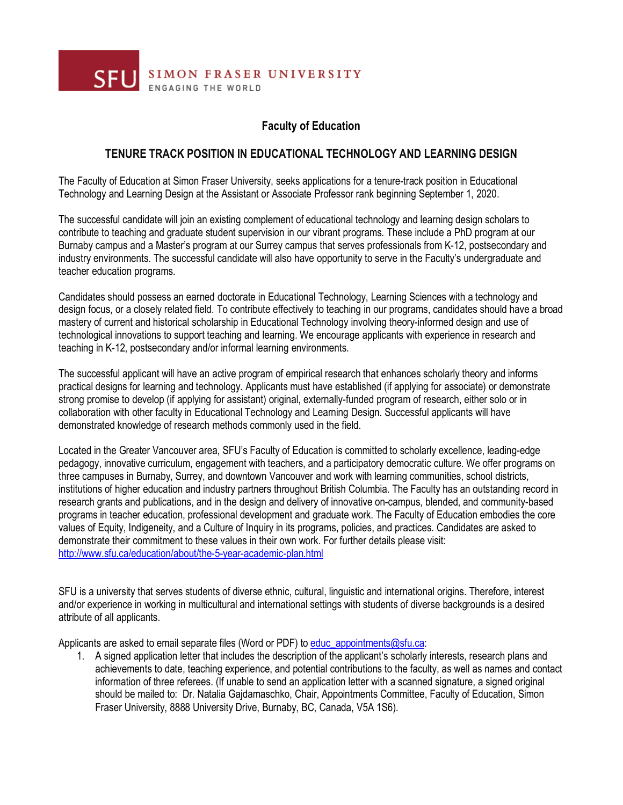

## **Faculty of Education**

## **TENURE TRACK POSITION IN EDUCATIONAL TECHNOLOGY AND LEARNING DESIGN**

The Faculty of Education at Simon Fraser University, seeks applications for a tenure-track position in Educational Technology and Learning Design at the Assistant or Associate Professor rank beginning September 1, 2020.

The successful candidate will join an existing complement of educational technology and learning design scholars to contribute to teaching and graduate student supervision in our vibrant programs. These include a PhD program at our Burnaby campus and a Master's program at our Surrey campus that serves professionals from K-12, postsecondary and industry environments. The successful candidate will also have opportunity to serve in the Faculty's undergraduate and teacher education programs.

Candidates should possess an earned doctorate in Educational Technology, Learning Sciences with a technology and design focus, or a closely related field. To contribute effectively to teaching in our programs, candidates should have a broad mastery of current and historical scholarship in Educational Technology involving theory-informed design and use of technological innovations to support teaching and learning. We encourage applicants with experience in research and teaching in K-12, postsecondary and/or informal learning environments.

The successful applicant will have an active program of empirical research that enhances scholarly theory and informs practical designs for learning and technology. Applicants must have established (if applying for associate) or demonstrate strong promise to develop (if applying for assistant) original, externally-funded program of research, either solo or in collaboration with other faculty in Educational Technology and Learning Design. Successful applicants will have demonstrated knowledge of research methods commonly used in the field.

Located in the Greater Vancouver area, SFU's Faculty of Education is committed to scholarly excellence, leading-edge pedagogy, innovative curriculum, engagement with teachers, and a participatory democratic culture. We offer programs on three campuses in Burnaby, Surrey, and downtown Vancouver and work with learning communities, school districts, institutions of higher education and industry partners throughout British Columbia. The Faculty has an outstanding record in research grants and publications, and in the design and delivery of innovative on-campus, blended, and community-based programs in teacher education, professional development and graduate work. The Faculty of Education embodies the core values of Equity, Indigeneity, and a Culture of Inquiry in its programs, policies, and practices. Candidates are asked to demonstrate their commitment to these values in their own work. For further details please visit: http://www.sfu.ca/education/about/the-5-year-academic-plan.html

SFU is a university that serves students of diverse ethnic, cultural, linguistic and international origins. Therefore, interest and/or experience in working in multicultural and international settings with students of diverse backgrounds is a desired attribute of all applicants.

Applicants are asked to email separate files (Word or PDF) to educ\_appointments@sfu.ca:

1. A signed application letter that includes the description of the applicant's scholarly interests, research plans and achievements to date, teaching experience, and potential contributions to the faculty, as well as names and contact information of three referees. (If unable to send an application letter with a scanned signature, a signed original should be mailed to: Dr. Natalia Gajdamaschko, Chair, Appointments Committee, Faculty of Education, Simon Fraser University, 8888 University Drive, Burnaby, BC, Canada, V5A 1S6).